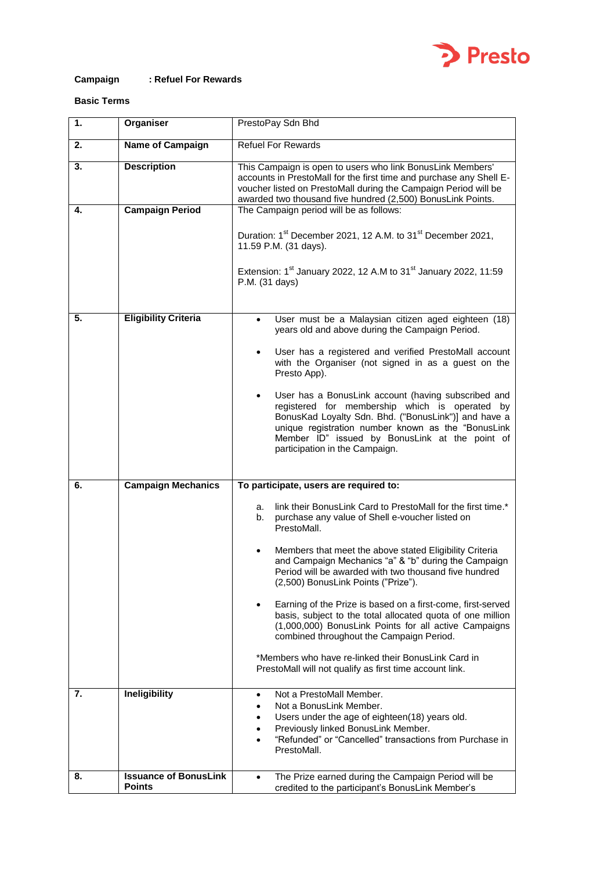

# **Campaign : Refuel For Rewards**

## **Basic Terms**

| 1. | Organiser                                     | PrestoPay Sdn Bhd                                                                                                                                                                                                                                                                                       |
|----|-----------------------------------------------|---------------------------------------------------------------------------------------------------------------------------------------------------------------------------------------------------------------------------------------------------------------------------------------------------------|
| 2. | <b>Name of Campaign</b>                       | <b>Refuel For Rewards</b>                                                                                                                                                                                                                                                                               |
| 3. | <b>Description</b>                            | This Campaign is open to users who link BonusLink Members'<br>accounts in PrestoMall for the first time and purchase any Shell E-<br>voucher listed on PrestoMall during the Campaign Period will be<br>awarded two thousand five hundred (2,500) BonusLink Points.                                     |
| 4. | <b>Campaign Period</b>                        | The Campaign period will be as follows:                                                                                                                                                                                                                                                                 |
|    |                                               | Duration: 1 <sup>st</sup> December 2021, 12 A.M. to 31 <sup>st</sup> December 2021,<br>11.59 P.M. (31 days).                                                                                                                                                                                            |
|    |                                               | Extension: 1 <sup>st</sup> January 2022, 12 A.M to 31 <sup>st</sup> January 2022, 11:59<br>P.M. (31 days)                                                                                                                                                                                               |
| 5. | <b>Eligibility Criteria</b>                   | User must be a Malaysian citizen aged eighteen (18)<br>$\bullet$<br>years old and above during the Campaign Period.                                                                                                                                                                                     |
|    |                                               | User has a registered and verified PrestoMall account<br>with the Organiser (not signed in as a guest on the<br>Presto App).                                                                                                                                                                            |
|    |                                               | User has a BonusLink account (having subscribed and<br>registered for membership which is operated by<br>BonusKad Loyalty Sdn. Bhd. ("BonusLink")] and have a<br>unique registration number known as the "BonusLink<br>Member ID" issued by BonusLink at the point of<br>participation in the Campaign. |
| 6. | <b>Campaign Mechanics</b>                     | To participate, users are required to:                                                                                                                                                                                                                                                                  |
|    |                                               | link their BonusLink Card to PrestoMall for the first time.*<br>a.<br>purchase any value of Shell e-voucher listed on<br>b.<br>PrestoMall.                                                                                                                                                              |
|    |                                               | Members that meet the above stated Eligibility Criteria<br>$\bullet$<br>and Campaign Mechanics "a" & "b" during the Campaign<br>Period will be awarded with two thousand five hundred<br>(2,500) BonusLink Points ("Prize").                                                                            |
|    |                                               | Earning of the Prize is based on a first-come, first-served<br>basis, subject to the total allocated quota of one million<br>(1,000,000) BonusLink Points for all active Campaigns<br>combined throughout the Campaign Period.                                                                          |
|    |                                               | *Members who have re-linked their BonusLink Card in<br>PrestoMall will not qualify as first time account link.                                                                                                                                                                                          |
| 7. | <b>Ineligibility</b>                          | Not a PrestoMall Member.<br>$\bullet$<br>Not a BonusLink Member.                                                                                                                                                                                                                                        |
|    |                                               | Users under the age of eighteen(18) years old.<br>$\bullet$                                                                                                                                                                                                                                             |
|    |                                               | Previously linked BonusLink Member.<br>$\bullet$<br>"Refunded" or "Cancelled" transactions from Purchase in<br>PrestoMall.                                                                                                                                                                              |
| 8. | <b>Issuance of BonusLink</b><br><b>Points</b> | The Prize earned during the Campaign Period will be<br>$\bullet$<br>credited to the participant's BonusLink Member's                                                                                                                                                                                    |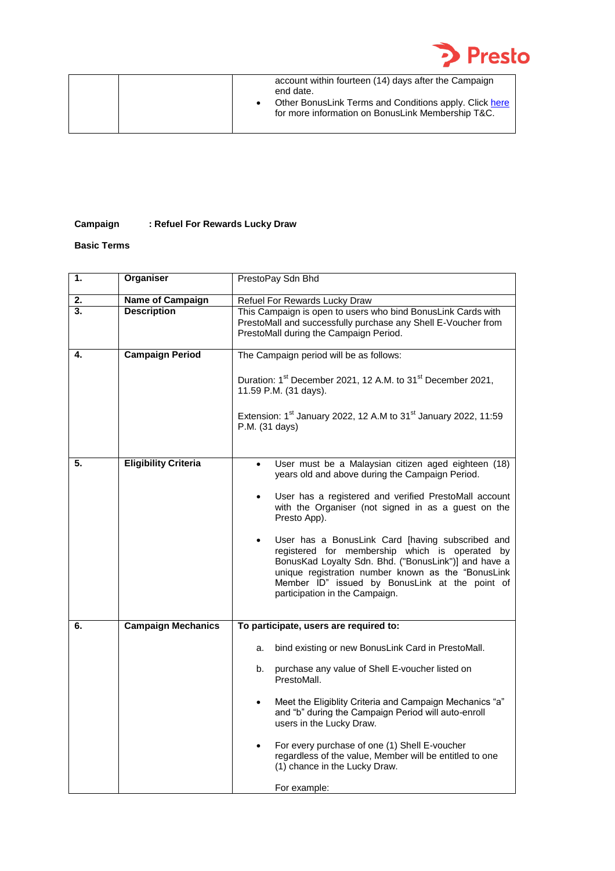

# **Campaign : Refuel For Rewards Lucky Draw**

## **Basic Terms**

| 1. | Organiser                   | PrestoPay Sdn Bhd                                                                                                                                                                                                                                                                                                                                                                                                                                                                                                                                                        |
|----|-----------------------------|--------------------------------------------------------------------------------------------------------------------------------------------------------------------------------------------------------------------------------------------------------------------------------------------------------------------------------------------------------------------------------------------------------------------------------------------------------------------------------------------------------------------------------------------------------------------------|
| 2. | Name of Campaign            | Refuel For Rewards Lucky Draw                                                                                                                                                                                                                                                                                                                                                                                                                                                                                                                                            |
| 3. | <b>Description</b>          | This Campaign is open to users who bind BonusLink Cards with<br>PrestoMall and successfully purchase any Shell E-Voucher from<br>PrestoMall during the Campaign Period.                                                                                                                                                                                                                                                                                                                                                                                                  |
| 4. | <b>Campaign Period</b>      | The Campaign period will be as follows:<br>Duration: 1 <sup>st</sup> December 2021, 12 A.M. to 31 <sup>st</sup> December 2021,<br>11.59 P.M. (31 days).<br>Extension: 1 <sup>st</sup> January 2022, 12 A.M to 31 <sup>st</sup> January 2022, 11:59<br>P.M. (31 days)                                                                                                                                                                                                                                                                                                     |
| 5. | <b>Eligibility Criteria</b> | User must be a Malaysian citizen aged eighteen (18)<br>$\bullet$<br>years old and above during the Campaign Period.<br>User has a registered and verified PrestoMall account<br>with the Organiser (not signed in as a guest on the<br>Presto App).<br>User has a BonusLink Card [having subscribed and<br>$\bullet$<br>registered for membership which is operated by<br>BonusKad Loyalty Sdn. Bhd. ("BonusLink")] and have a<br>unique registration number known as the "BonusLink<br>Member ID" issued by BonusLink at the point of<br>participation in the Campaign. |
| 6. | <b>Campaign Mechanics</b>   | To participate, users are required to:<br>bind existing or new BonusLink Card in PrestoMall.<br>a.<br>b.<br>purchase any value of Shell E-voucher listed on<br>PrestoMall.<br>Meet the Eligiblity Criteria and Campaign Mechanics "a"<br>$\bullet$<br>and "b" during the Campaign Period will auto-enroll<br>users in the Lucky Draw.<br>For every purchase of one (1) Shell E-voucher<br>regardless of the value, Member will be entitled to one<br>(1) chance in the Lucky Draw.<br>For example:                                                                       |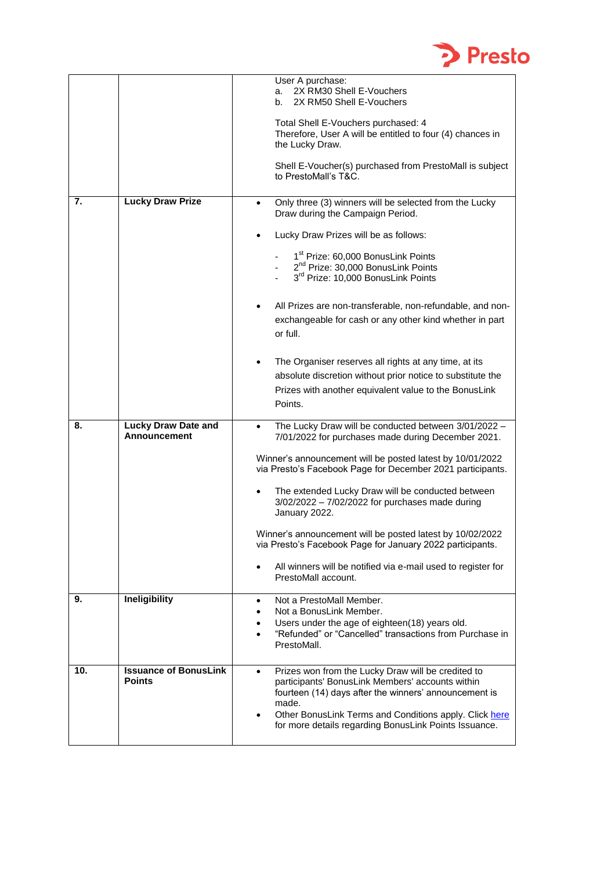

|     |                                                   | User A purchase:<br>2X RM30 Shell E-Vouchers<br>a.<br>2X RM50 Shell E-Vouchers<br>b.                                                                                                                                                                                                        |
|-----|---------------------------------------------------|---------------------------------------------------------------------------------------------------------------------------------------------------------------------------------------------------------------------------------------------------------------------------------------------|
|     |                                                   | Total Shell E-Vouchers purchased: 4<br>Therefore, User A will be entitled to four (4) chances in<br>the Lucky Draw.                                                                                                                                                                         |
|     |                                                   | Shell E-Voucher(s) purchased from PrestoMall is subject<br>to PrestoMall's T&C.                                                                                                                                                                                                             |
| 7.  | <b>Lucky Draw Prize</b>                           | Only three (3) winners will be selected from the Lucky<br>$\bullet$<br>Draw during the Campaign Period.                                                                                                                                                                                     |
|     |                                                   | Lucky Draw Prizes will be as follows:                                                                                                                                                                                                                                                       |
|     |                                                   | 1 <sup>st</sup> Prize: 60,000 BonusLink Points<br>2 <sup>nd</sup> Prize: 30,000 BonusLink Points<br>3rd Prize: 10,000 BonusLink Points                                                                                                                                                      |
|     |                                                   | All Prizes are non-transferable, non-refundable, and non-<br>exchangeable for cash or any other kind whether in part<br>or full.                                                                                                                                                            |
|     |                                                   | The Organiser reserves all rights at any time, at its<br>absolute discretion without prior notice to substitute the<br>Prizes with another equivalent value to the BonusLink<br>Points.                                                                                                     |
| 8.  | <b>Lucky Draw Date and</b><br><b>Announcement</b> | The Lucky Draw will be conducted between 3/01/2022 -<br>$\bullet$<br>7/01/2022 for purchases made during December 2021.                                                                                                                                                                     |
|     |                                                   | Winner's announcement will be posted latest by 10/01/2022<br>via Presto's Facebook Page for December 2021 participants.                                                                                                                                                                     |
|     |                                                   | The extended Lucky Draw will be conducted between<br>3/02/2022 - 7/02/2022 for purchases made during<br>January 2022.                                                                                                                                                                       |
|     |                                                   | Winner's announcement will be posted latest by 10/02/2022<br>via Presto's Facebook Page for January 2022 participants.                                                                                                                                                                      |
|     |                                                   | All winners will be notified via e-mail used to register for<br>PrestoMall account.                                                                                                                                                                                                         |
| 9.  | <b>Ineligibility</b>                              | Not a PrestoMall Member.<br>Not a BonusLink Member.<br>Users under the age of eighteen(18) years old.<br>"Refunded" or "Cancelled" transactions from Purchase in<br>PrestoMall.                                                                                                             |
| 10. | <b>Issuance of BonusLink</b><br><b>Points</b>     | Prizes won from the Lucky Draw will be credited to<br>participants' BonusLink Members' accounts within<br>fourteen (14) days after the winners' announcement is<br>made.<br>Other BonusLink Terms and Conditions apply. Click here<br>for more details regarding BonusLink Points Issuance. |
|     |                                                   |                                                                                                                                                                                                                                                                                             |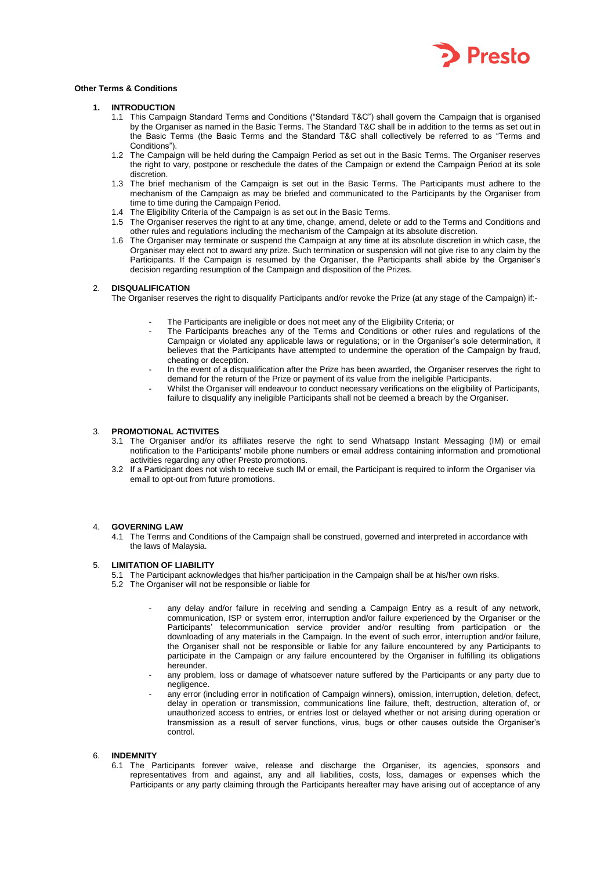

### **Other Terms & Conditions**

#### **1. INTRODUCTION**

- 1.1 This Campaign Standard Terms and Conditions ("Standard T&C") shall govern the Campaign that is organised by the Organiser as named in the Basic Terms. The Standard T&C shall be in addition to the terms as set out in the Basic Terms (the Basic Terms and the Standard T&C shall collectively be referred to as "Terms and Conditions").
- 1.2 The Campaign will be held during the Campaign Period as set out in the Basic Terms. The Organiser reserves the right to vary, postpone or reschedule the dates of the Campaign or extend the Campaign Period at its sole discretion.
- 1.3 The brief mechanism of the Campaign is set out in the Basic Terms. The Participants must adhere to the mechanism of the Campaign as may be briefed and communicated to the Participants by the Organiser from time to time during the Campaign Period.
- 1.4 The Eligibility Criteria of the Campaign is as set out in the Basic Terms.
- 1.5 The Organiser reserves the right to at any time, change, amend, delete or add to the Terms and Conditions and other rules and regulations including the mechanism of the Campaign at its absolute discretion.
- 1.6 The Organiser may terminate or suspend the Campaign at any time at its absolute discretion in which case, the Organiser may elect not to award any prize. Such termination or suspension will not give rise to any claim by the Participants. If the Campaign is resumed by the Organiser, the Participants shall abide by the Organiser's decision regarding resumption of the Campaign and disposition of the Prizes.

#### 2. **DISQUALIFICATION**

The Organiser reserves the right to disqualify Participants and/or revoke the Prize (at any stage of the Campaign) if:-

- The Participants are ineligible or does not meet any of the Eligibility Criteria; or
- The Participants breaches any of the Terms and Conditions or other rules and regulations of the Campaign or violated any applicable laws or regulations; or in the Organiser's sole determination, it believes that the Participants have attempted to undermine the operation of the Campaign by fraud, cheating or deception.
- In the event of a disqualification after the Prize has been awarded, the Organiser reserves the right to demand for the return of the Prize or payment of its value from the ineligible Participants.
- Whilst the Organiser will endeavour to conduct necessary verifications on the eligibility of Participants, failure to disqualify any ineligible Participants shall not be deemed a breach by the Organiser.

#### 3. **PROMOTIONAL ACTIVITES**

- 3.1 The Organiser and/or its affiliates reserve the right to send Whatsapp Instant Messaging (IM) or email notification to the Participants' mobile phone numbers or email address containing information and promotional activities regarding any other Presto promotions.
- 3.2 If a Participant does not wish to receive such IM or email, the Participant is required to inform the Organiser via email to opt-out from future promotions.

## 4. **GOVERNING LAW**

4.1 The Terms and Conditions of the Campaign shall be construed, governed and interpreted in accordance with the laws of Malaysia.

#### 5. **LIMITATION OF LIABILITY**

- 5.1 The Participant acknowledges that his/her participation in the Campaign shall be at his/her own risks.
- 5.2 The Organiser will not be responsible or liable for
	- any delay and/or failure in receiving and sending a Campaign Entry as a result of any network, communication, ISP or system error, interruption and/or failure experienced by the Organiser or the Participants' telecommunication service provider and/or resulting from participation or the downloading of any materials in the Campaign. In the event of such error, interruption and/or failure, the Organiser shall not be responsible or liable for any failure encountered by any Participants to participate in the Campaign or any failure encountered by the Organiser in fulfilling its obligations hereunder.
	- any problem, loss or damage of whatsoever nature suffered by the Participants or any party due to negligence.
	- any error (including error in notification of Campaign winners), omission, interruption, deletion, defect, delay in operation or transmission, communications line failure, theft, destruction, alteration of, or unauthorized access to entries, or entries lost or delayed whether or not arising during operation or transmission as a result of server functions, virus, bugs or other causes outside the Organiser's control.

#### 6. **INDEMNITY**

6.1 The Participants forever waive, release and discharge the Organiser, its agencies, sponsors and representatives from and against, any and all liabilities, costs, loss, damages or expenses which the Participants or any party claiming through the Participants hereafter may have arising out of acceptance of any